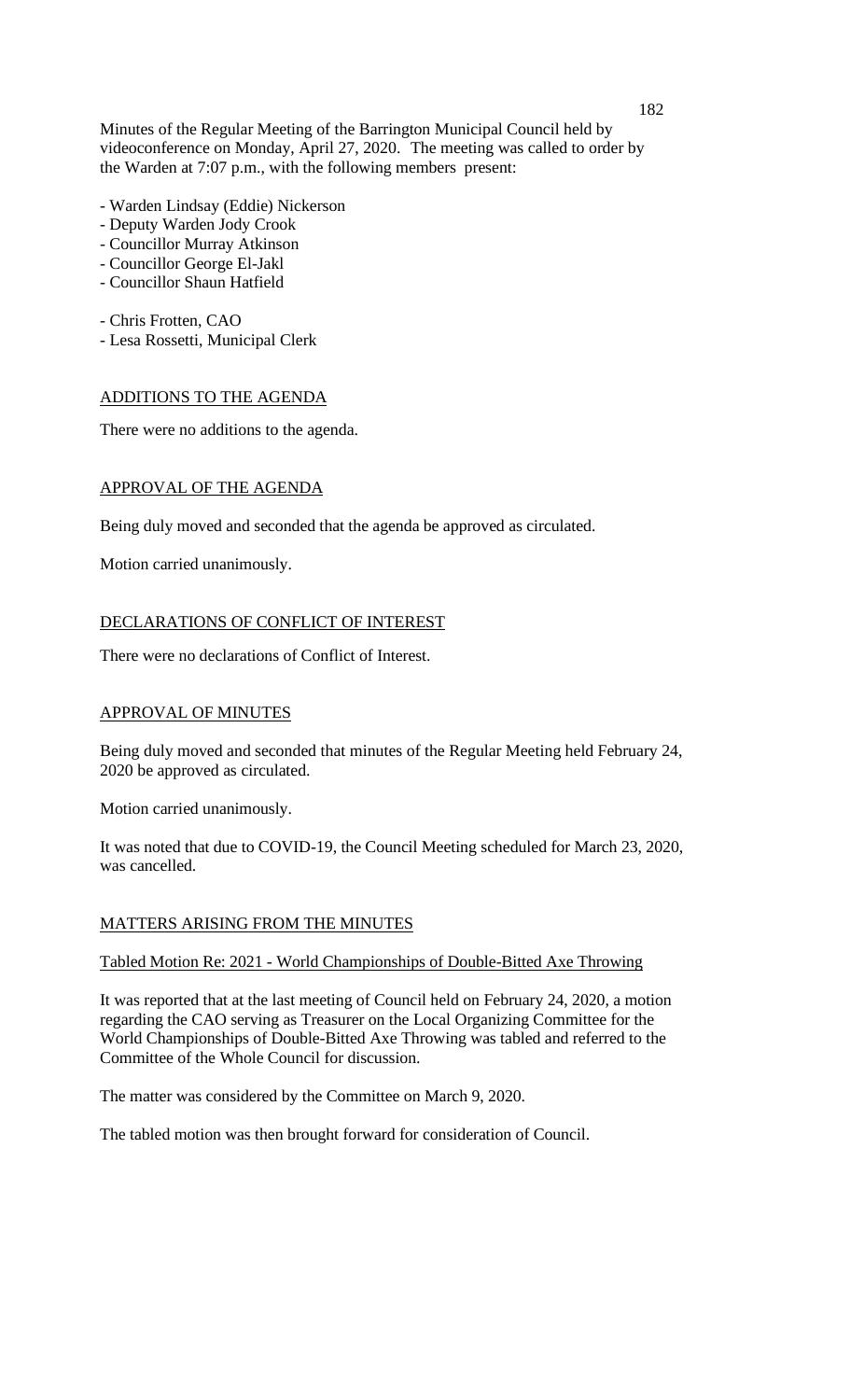Minutes of the Regular Meeting of the Barrington Municipal Council held by videoconference on Monday, April 27, 2020. The meeting was called to order by the Warden at 7:07 p.m., with the following members present:

- Warden Lindsay (Eddie) Nickerson
- Deputy Warden Jody Crook
- Councillor Murray Atkinson
- Councillor George El-Jakl
- Councillor Shaun Hatfield
- Chris Frotten, CAO
- Lesa Rossetti, Municipal Clerk

## ADDITIONS TO THE AGENDA

There were no additions to the agenda.

## APPROVAL OF THE AGENDA

Being duly moved and seconded that the agenda be approved as circulated.

Motion carried unanimously.

## DECLARATIONS OF CONFLICT OF INTEREST

There were no declarations of Conflict of Interest.

## APPROVAL OF MINUTES

Being duly moved and seconded that minutes of the Regular Meeting held February 24, 2020 be approved as circulated.

Motion carried unanimously.

It was noted that due to COVID-19, the Council Meeting scheduled for March 23, 2020, was cancelled.

## MATTERS ARISING FROM THE MINUTES

#### Tabled Motion Re: 2021 - World Championships of Double-Bitted Axe Throwing

It was reported that at the last meeting of Council held on February 24, 2020, a motion regarding the CAO serving as Treasurer on the Local Organizing Committee for the World Championships of Double-Bitted Axe Throwing was tabled and referred to the Committee of the Whole Council for discussion.

The matter was considered by the Committee on March 9, 2020.

The tabled motion was then brought forward for consideration of Council.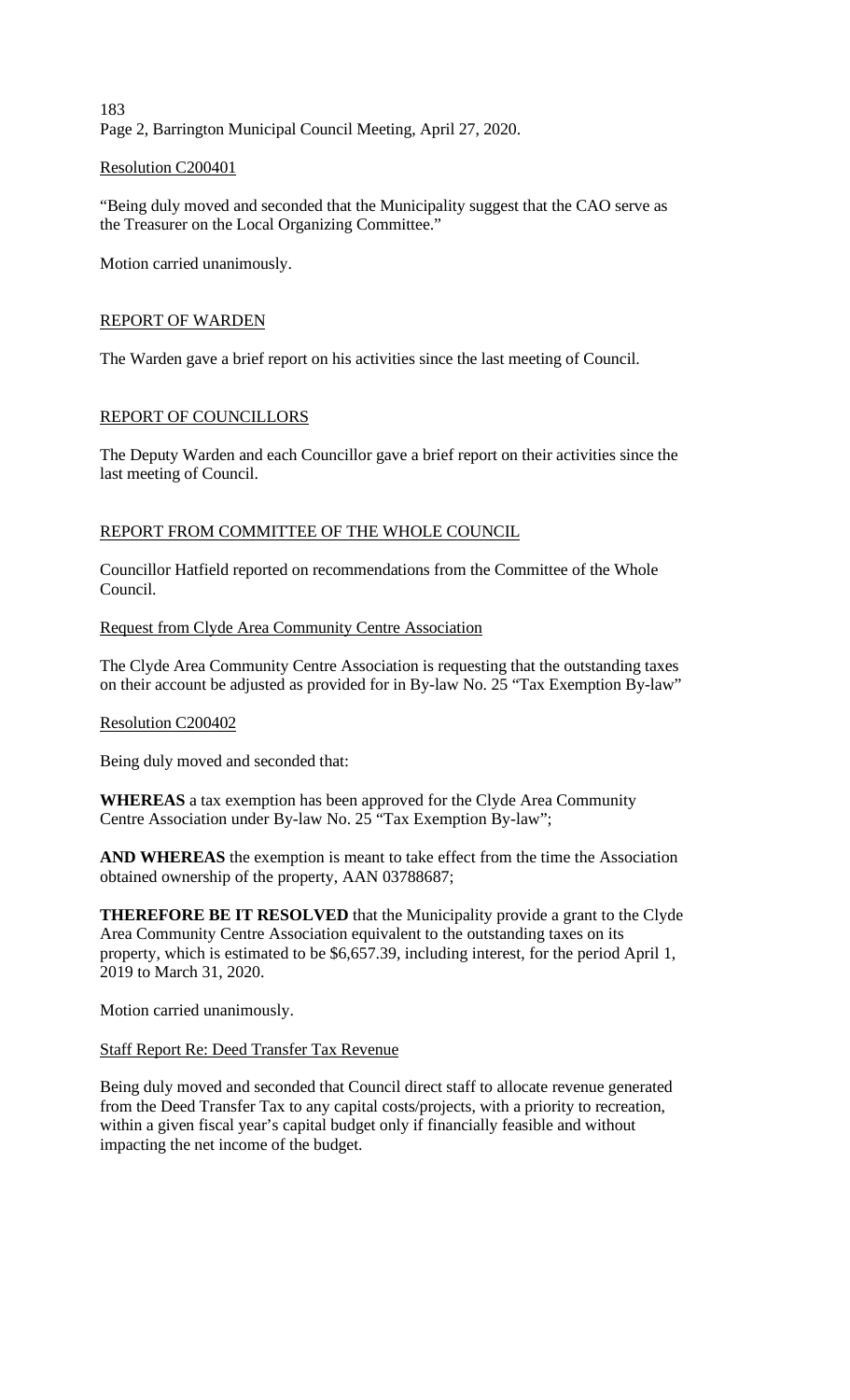183 Page 2, Barrington Municipal Council Meeting, April 27, 2020.

## Resolution C200401

"Being duly moved and seconded that the Municipality suggest that the CAO serve as the Treasurer on the Local Organizing Committee."

Motion carried unanimously.

## REPORT OF WARDEN

The Warden gave a brief report on his activities since the last meeting of Council.

## REPORT OF COUNCILLORS

The Deputy Warden and each Councillor gave a brief report on their activities since the last meeting of Council.

## REPORT FROM COMMITTEE OF THE WHOLE COUNCIL

Councillor Hatfield reported on recommendations from the Committee of the Whole Council.

#### Request from Clyde Area Community Centre Association

The Clyde Area Community Centre Association is requesting that the outstanding taxes on their account be adjusted as provided for in By-law No. 25 "Tax Exemption By-law"

#### Resolution C200402

Being duly moved and seconded that:

**WHEREAS** a tax exemption has been approved for the Clyde Area Community Centre Association under By-law No. 25 "Tax Exemption By-law";

**AND WHEREAS** the exemption is meant to take effect from the time the Association obtained ownership of the property, AAN 03788687;

**THEREFORE BE IT RESOLVED** that the Municipality provide a grant to the Clyde Area Community Centre Association equivalent to the outstanding taxes on its property, which is estimated to be \$6,657.39, including interest, for the period April 1, 2019 to March 31, 2020.

Motion carried unanimously.

#### Staff Report Re: Deed Transfer Tax Revenue

Being duly moved and seconded that Council direct staff to allocate revenue generated from the Deed Transfer Tax to any capital costs/projects, with a priority to recreation, within a given fiscal year's capital budget only if financially feasible and without impacting the net income of the budget.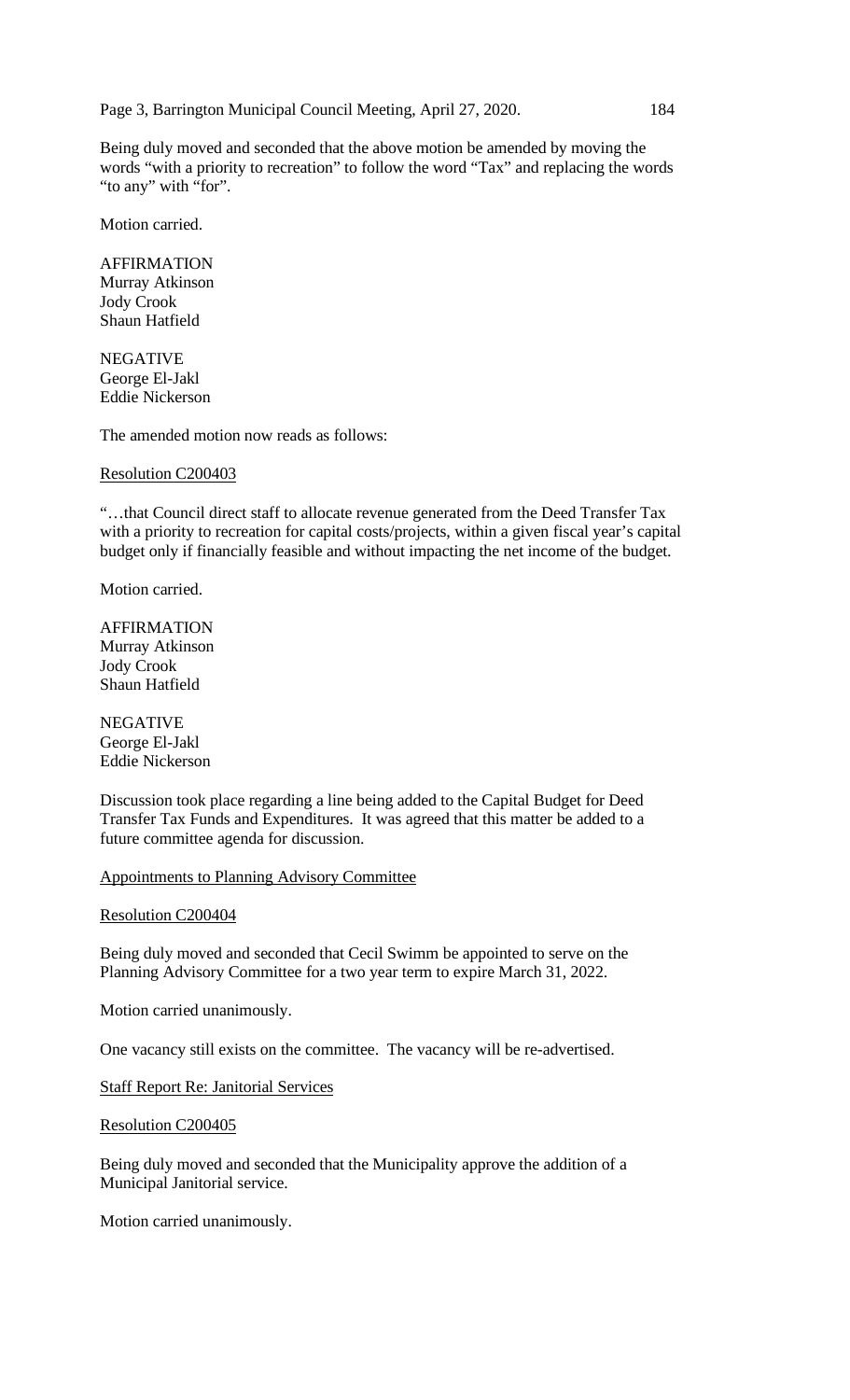Page 3, Barrington Municipal Council Meeting, April 27, 2020. 184

Being duly moved and seconded that the above motion be amended by moving the words "with a priority to recreation" to follow the word "Tax" and replacing the words "to any" with "for".

Motion carried.

AFFIRMATION Murray Atkinson Jody Crook Shaun Hatfield

NEGATIVE George El-Jakl Eddie Nickerson

The amended motion now reads as follows:

#### Resolution C200403

"…that Council direct staff to allocate revenue generated from the Deed Transfer Tax with a priority to recreation for capital costs/projects, within a given fiscal year's capital budget only if financially feasible and without impacting the net income of the budget.

Motion carried.

AFFIRMATION Murray Atkinson Jody Crook Shaun Hatfield

NEGATIVE George El-Jakl Eddie Nickerson

Discussion took place regarding a line being added to the Capital Budget for Deed Transfer Tax Funds and Expenditures. It was agreed that this matter be added to a future committee agenda for discussion.

#### Appointments to Planning Advisory Committee

Resolution C200404

Being duly moved and seconded that Cecil Swimm be appointed to serve on the Planning Advisory Committee for a two year term to expire March 31, 2022.

Motion carried unanimously.

One vacancy still exists on the committee. The vacancy will be re-advertised.

Staff Report Re: Janitorial Services

Resolution C200405

Being duly moved and seconded that the Municipality approve the addition of a Municipal Janitorial service.

Motion carried unanimously.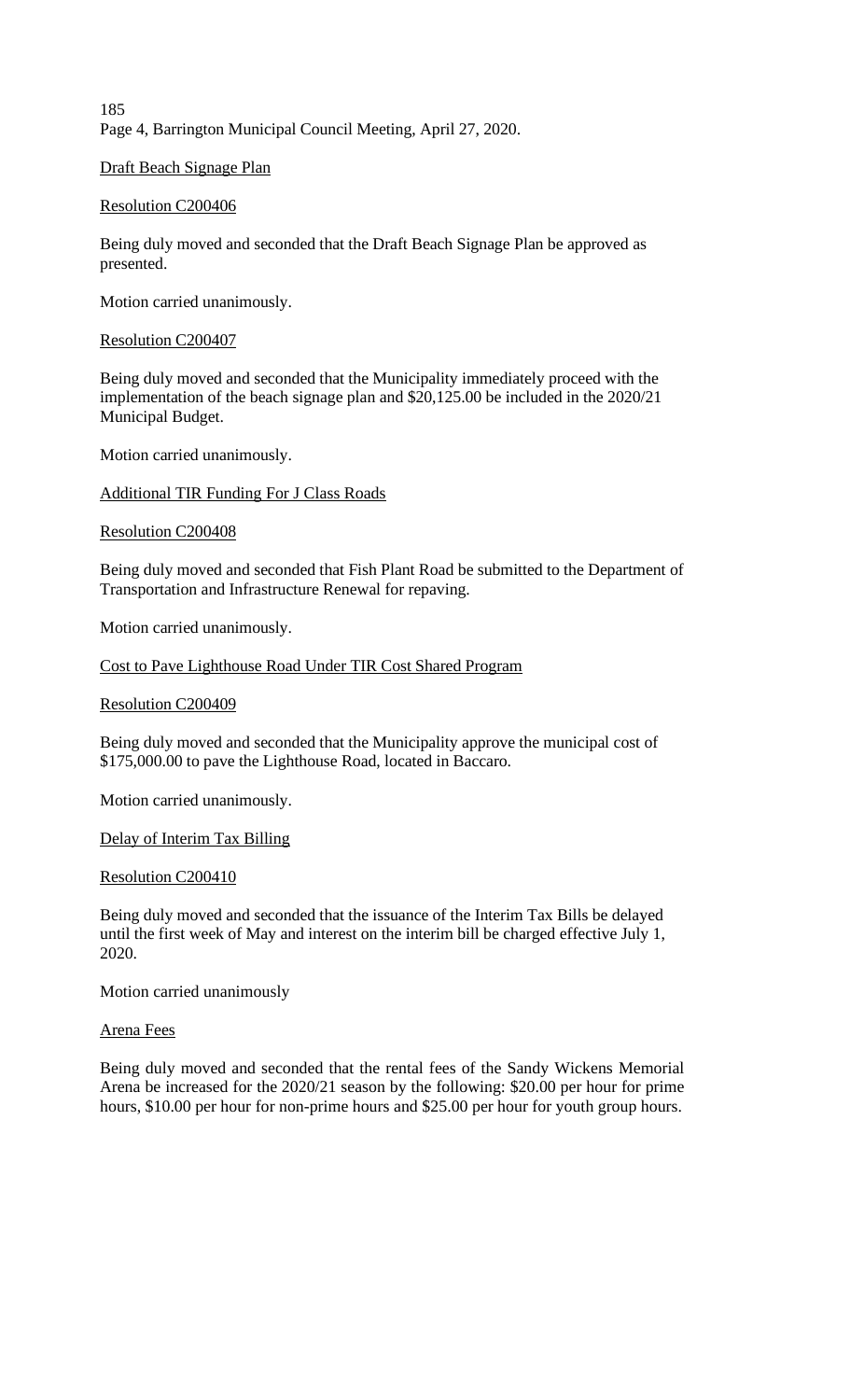185 Page 4, Barrington Municipal Council Meeting, April 27, 2020.

Draft Beach Signage Plan

## Resolution C200406

Being duly moved and seconded that the Draft Beach Signage Plan be approved as presented.

Motion carried unanimously.

## Resolution C200407

Being duly moved and seconded that the Municipality immediately proceed with the implementation of the beach signage plan and \$20,125.00 be included in the 2020/21 Municipal Budget.

Motion carried unanimously.

Additional TIR Funding For J Class Roads

## Resolution C200408

Being duly moved and seconded that Fish Plant Road be submitted to the Department of Transportation and Infrastructure Renewal for repaving.

Motion carried unanimously.

Cost to Pave Lighthouse Road Under TIR Cost Shared Program

## Resolution C200409

Being duly moved and seconded that the Municipality approve the municipal cost of \$175,000.00 to pave the Lighthouse Road, located in Baccaro.

Motion carried unanimously.

Delay of Interim Tax Billing

## Resolution C200410

Being duly moved and seconded that the issuance of the Interim Tax Bills be delayed until the first week of May and interest on the interim bill be charged effective July 1, 2020.

Motion carried unanimously

## Arena Fees

Being duly moved and seconded that the rental fees of the Sandy Wickens Memorial Arena be increased for the 2020/21 season by the following: \$20.00 per hour for prime hours, \$10.00 per hour for non-prime hours and \$25.00 per hour for youth group hours.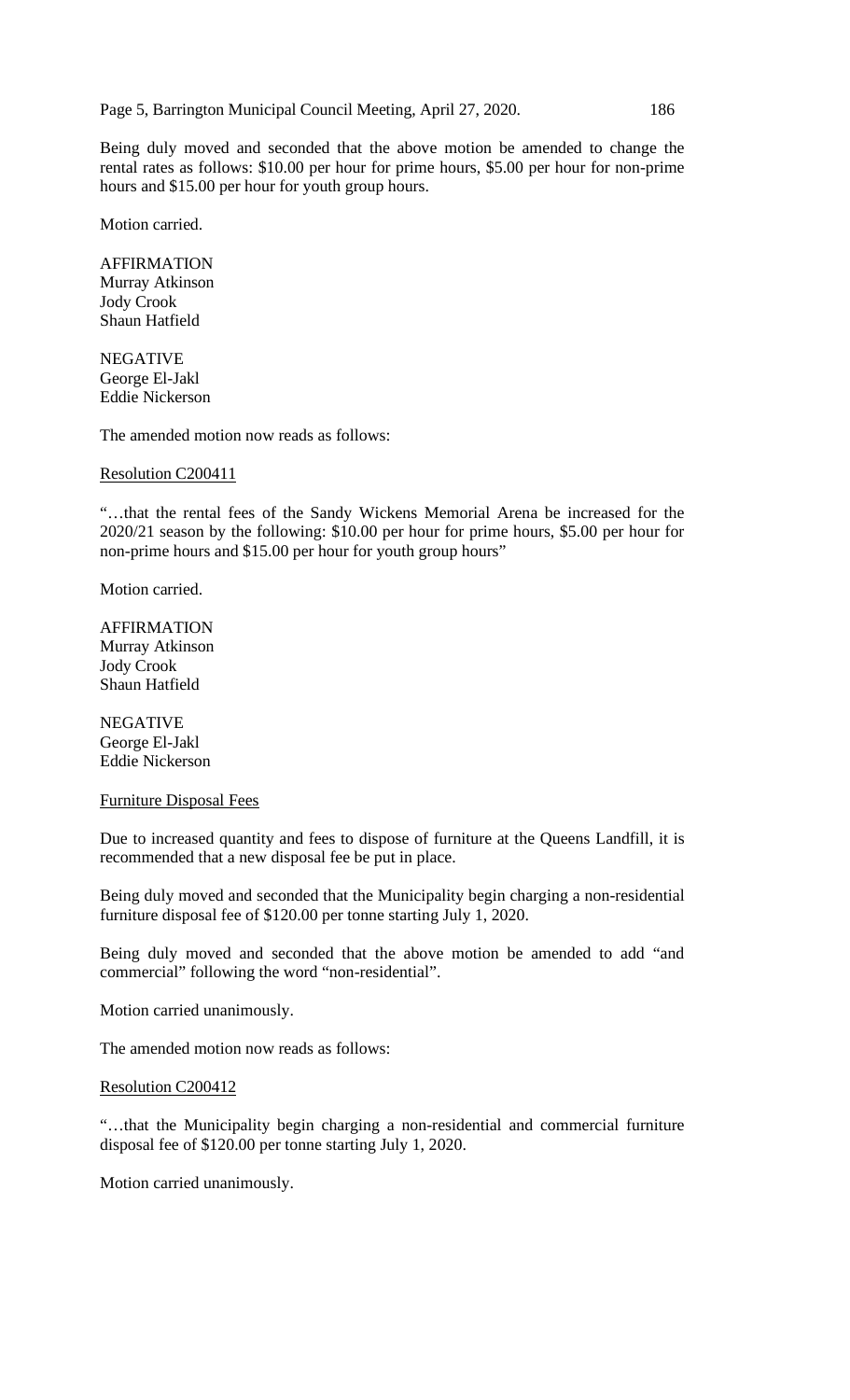Page 5, Barrington Municipal Council Meeting, April 27, 2020. 186

Being duly moved and seconded that the above motion be amended to change the rental rates as follows: \$10.00 per hour for prime hours, \$5.00 per hour for non-prime hours and \$15.00 per hour for youth group hours.

Motion carried.

AFFIRMATION Murray Atkinson Jody Crook Shaun Hatfield

NEGATIVE George El-Jakl Eddie Nickerson

The amended motion now reads as follows:

#### Resolution C200411

"…that the rental fees of the Sandy Wickens Memorial Arena be increased for the 2020/21 season by the following: \$10.00 per hour for prime hours, \$5.00 per hour for non-prime hours and \$15.00 per hour for youth group hours"

Motion carried.

AFFIRMATION Murray Atkinson Jody Crook Shaun Hatfield

NEGATIVE George El-Jakl Eddie Nickerson

## Furniture Disposal Fees

Due to increased quantity and fees to dispose of furniture at the Queens Landfill, it is recommended that a new disposal fee be put in place.

Being duly moved and seconded that the Municipality begin charging a non-residential furniture disposal fee of \$120.00 per tonne starting July 1, 2020.

Being duly moved and seconded that the above motion be amended to add "and commercial" following the word "non-residential".

Motion carried unanimously.

The amended motion now reads as follows:

#### Resolution C200412

"…that the Municipality begin charging a non-residential and commercial furniture disposal fee of \$120.00 per tonne starting July 1, 2020.

Motion carried unanimously.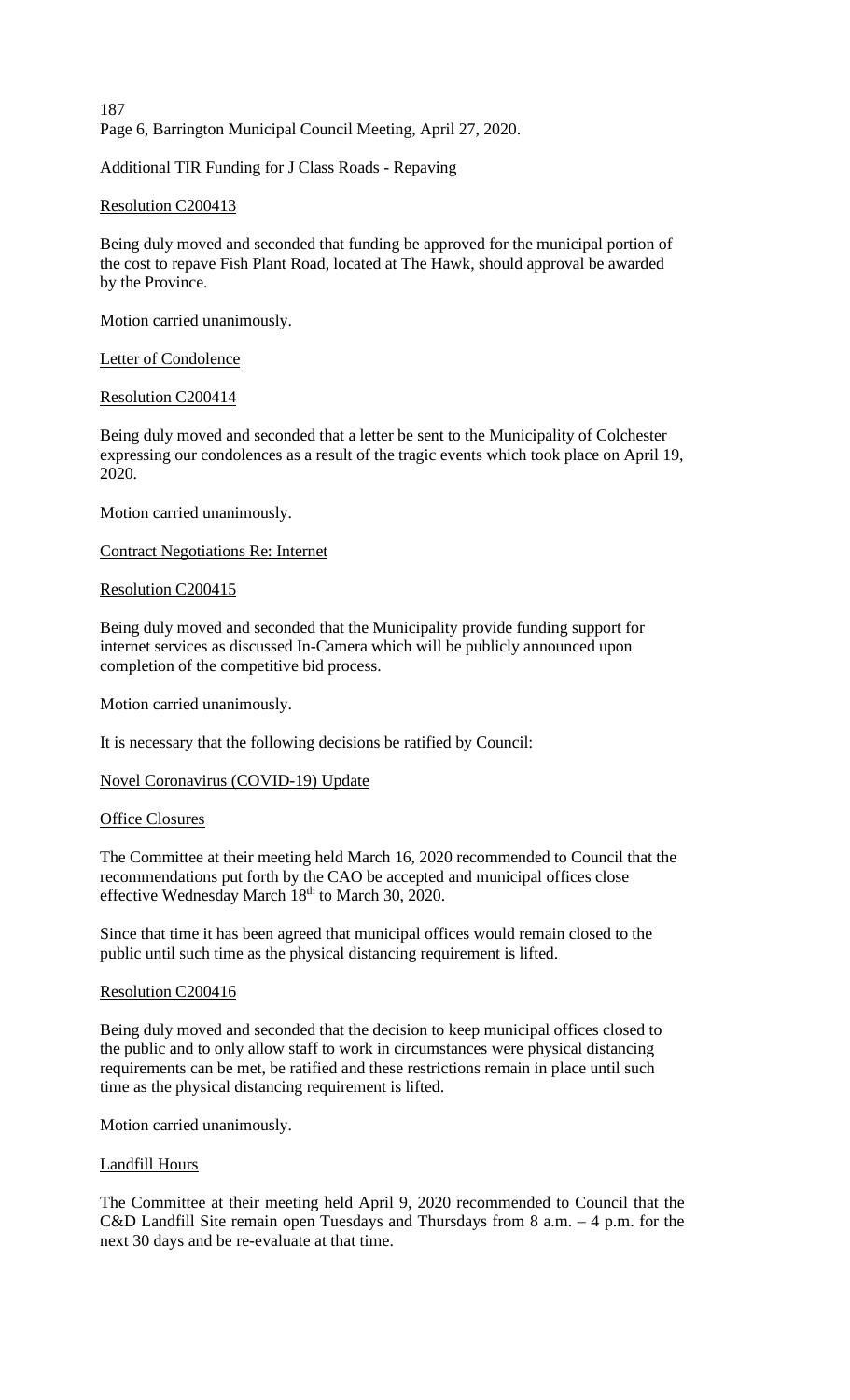187 Page 6, Barrington Municipal Council Meeting, April 27, 2020.

## Additional TIR Funding for J Class Roads - Repaving

## Resolution C200413

Being duly moved and seconded that funding be approved for the municipal portion of the cost to repave Fish Plant Road, located at The Hawk, should approval be awarded by the Province.

Motion carried unanimously.

## Letter of Condolence

## Resolution C200414

Being duly moved and seconded that a letter be sent to the Municipality of Colchester expressing our condolences as a result of the tragic events which took place on April 19, 2020.

Motion carried unanimously.

## Contract Negotiations Re: Internet

## Resolution C200415

Being duly moved and seconded that the Municipality provide funding support for internet services as discussed In-Camera which will be publicly announced upon completion of the competitive bid process.

Motion carried unanimously.

It is necessary that the following decisions be ratified by Council:

## Novel Coronavirus (COVID-19) Update

#### Office Closures

The Committee at their meeting held March 16, 2020 recommended to Council that the recommendations put forth by the CAO be accepted and municipal offices close effective Wednesday March 18<sup>th</sup> to March 30, 2020.

Since that time it has been agreed that municipal offices would remain closed to the public until such time as the physical distancing requirement is lifted.

#### Resolution C200416

Being duly moved and seconded that the decision to keep municipal offices closed to the public and to only allow staff to work in circumstances were physical distancing requirements can be met, be ratified and these restrictions remain in place until such time as the physical distancing requirement is lifted.

Motion carried unanimously.

#### Landfill Hours

The Committee at their meeting held April 9, 2020 recommended to Council that the C&D Landfill Site remain open Tuesdays and Thursdays from 8 a.m. – 4 p.m. for the next 30 days and be re-evaluate at that time.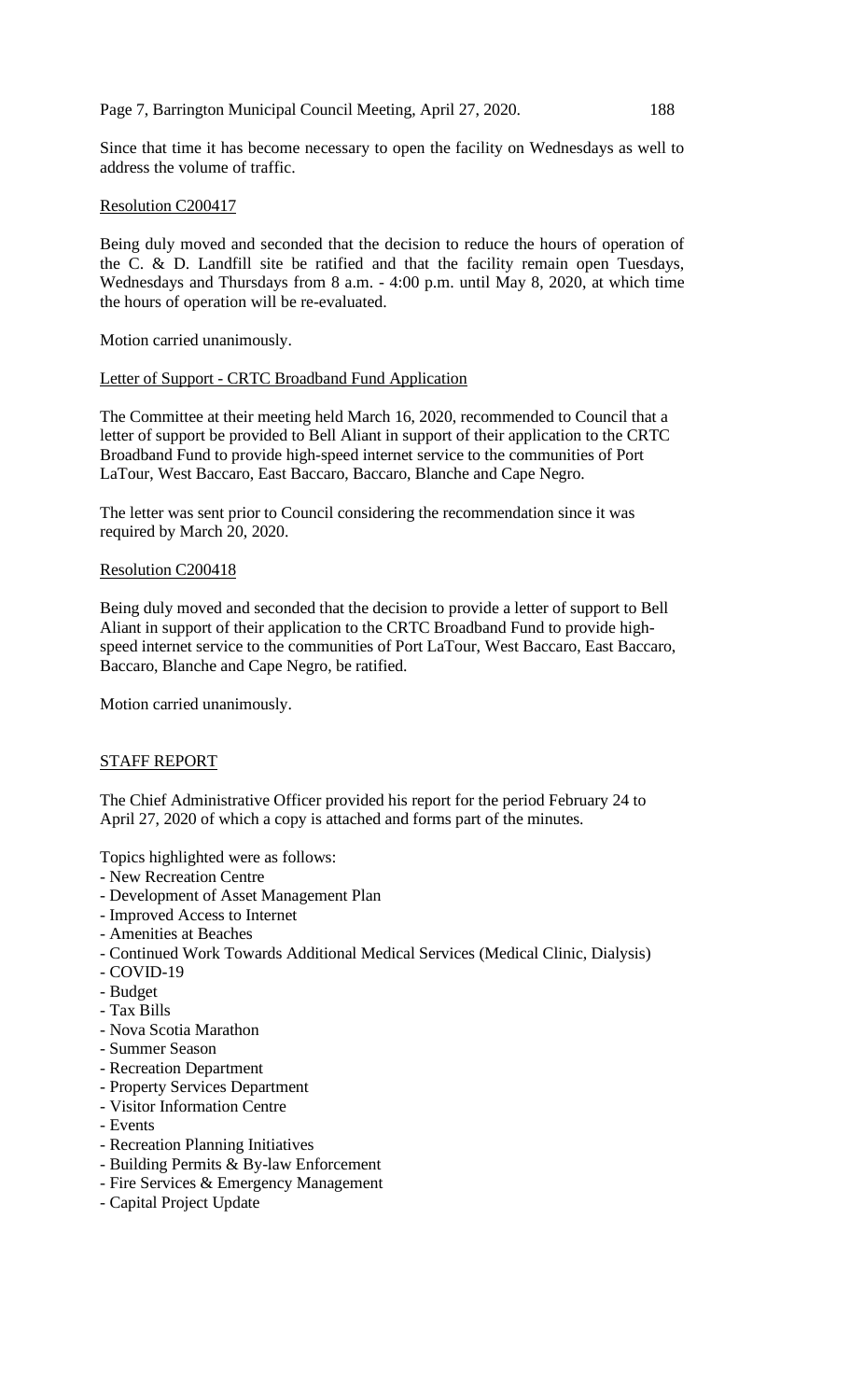Page 7, Barrington Municipal Council Meeting, April 27, 2020. 188

Since that time it has become necessary to open the facility on Wednesdays as well to address the volume of traffic.

## Resolution C200417

Being duly moved and seconded that the decision to reduce the hours of operation of the C. & D. Landfill site be ratified and that the facility remain open Tuesdays, Wednesdays and Thursdays from 8 a.m. - 4:00 p.m. until May 8, 2020, at which time the hours of operation will be re-evaluated.

Motion carried unanimously.

## Letter of Support - CRTC Broadband Fund Application

The Committee at their meeting held March 16, 2020, recommended to Council that a letter of support be provided to Bell Aliant in support of their application to the CRTC Broadband Fund to provide high-speed internet service to the communities of Port LaTour, West Baccaro, East Baccaro, Baccaro, Blanche and Cape Negro.

The letter was sent prior to Council considering the recommendation since it was required by March 20, 2020.

## Resolution C200418

Being duly moved and seconded that the decision to provide a letter of support to Bell Aliant in support of their application to the CRTC Broadband Fund to provide highspeed internet service to the communities of Port LaTour, West Baccaro, East Baccaro, Baccaro, Blanche and Cape Negro, be ratified.

Motion carried unanimously.

## STAFF REPORT

The Chief Administrative Officer provided his report for the period February 24 to April 27, 2020 of which a copy is attached and forms part of the minutes.

Topics highlighted were as follows:

- New Recreation Centre
- Development of Asset Management Plan
- Improved Access to Internet
- Amenities at Beaches
- Continued Work Towards Additional Medical Services (Medical Clinic, Dialysis)
- COVID-19
- Budget
- Tax Bills
- Nova Scotia Marathon
- Summer Season
- Recreation Department
- Property Services Department
- Visitor Information Centre
- Events
- Recreation Planning Initiatives
- Building Permits & By-law Enforcement
- Fire Services & Emergency Management
- Capital Project Update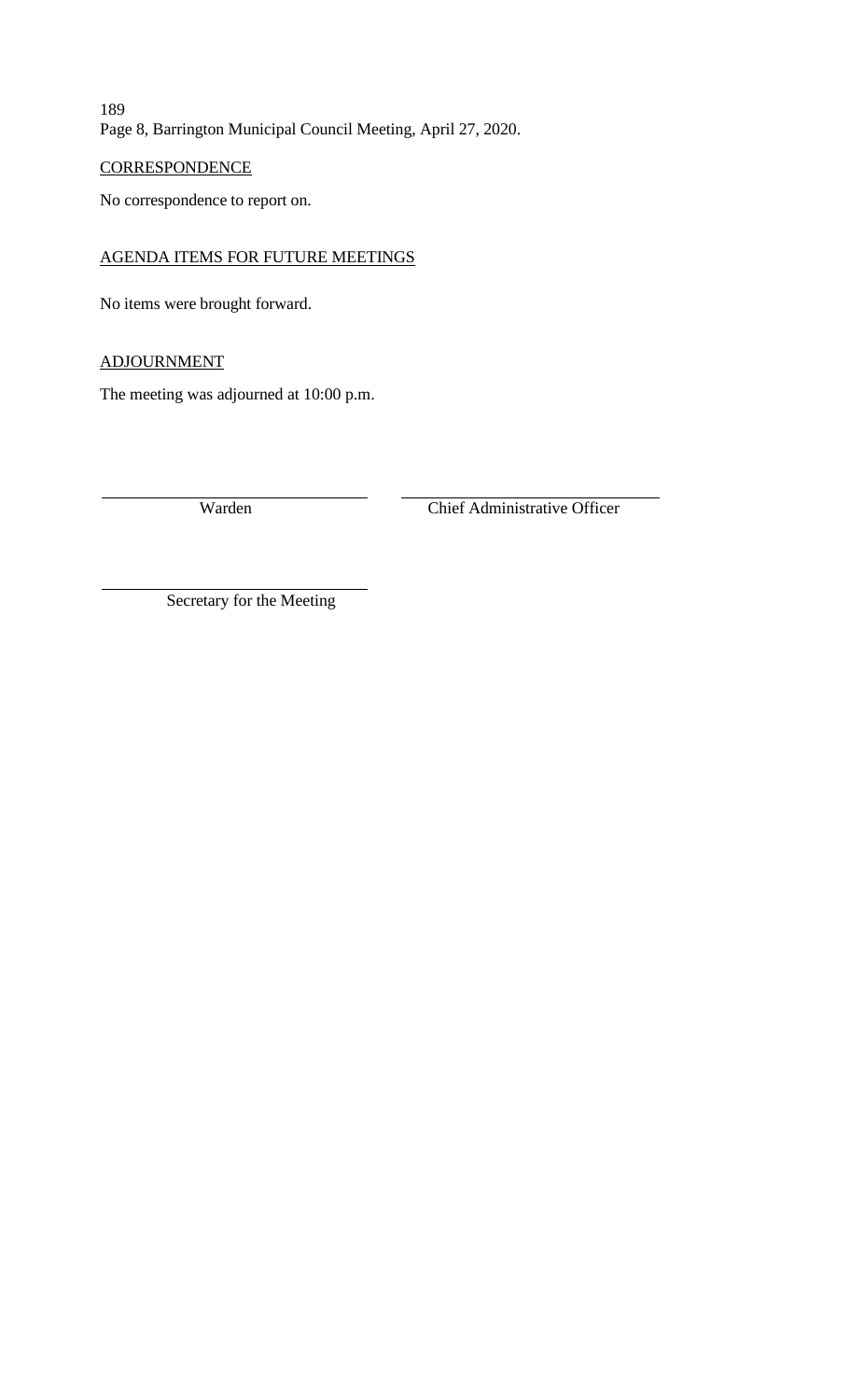189 Page 8, Barrington Municipal Council Meeting, April 27, 2020.

## **CORRESPONDENCE**

No correspondence to report on.

## AGENDA ITEMS FOR FUTURE MEETINGS

No items were brought forward.

## ADJOURNMENT

The meeting was adjourned at 10:00 p.m.

Warden Chief Administrative Officer

Secretary for the Meeting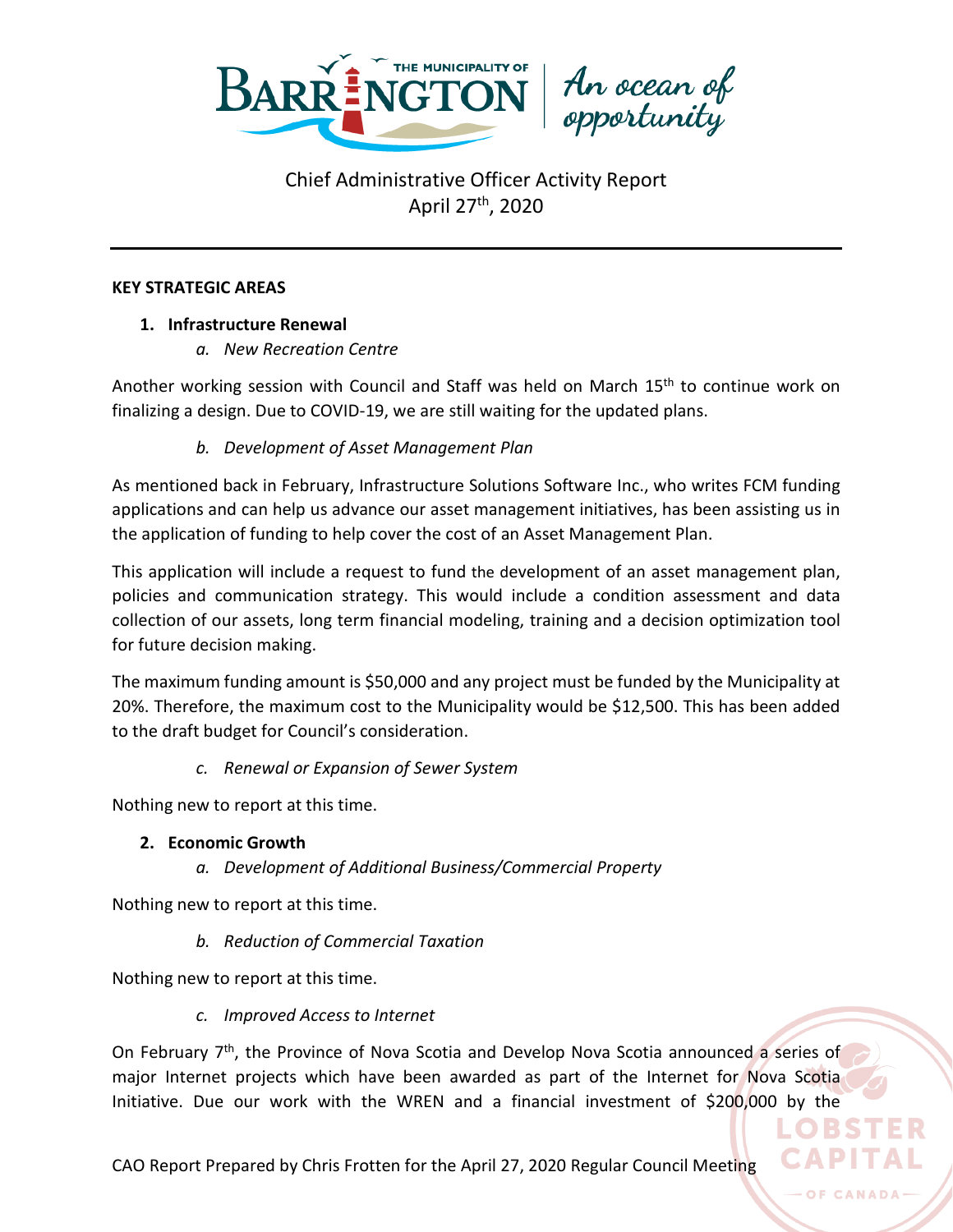

An ocean of<br>opportunity

## **KEY STRATEGIC AREAS**

## **1. Infrastructure Renewal**

*a. New Recreation Centre*

Another working session with Council and Staff was held on March 15<sup>th</sup> to continue work on finalizing a design. Due to COVID-19, we are still waiting for the updated plans.

## *b. Development of Asset Management Plan*

As mentioned back in February, Infrastructure Solutions Software Inc., who writes FCM funding applications and can help us advance our asset management initiatives, has been assisting us in the application of funding to help cover the cost of an Asset Management Plan.

This application will include a request to fund the development of an asset management plan, policies and communication strategy. This would include a condition assessment and data collection of our assets, long term financial modeling, training and a decision optimization tool for future decision making.

The maximum funding amount is \$50,000 and any project must be funded by the Municipality at 20%. Therefore, the maximum cost to the Municipality would be \$12,500. This has been added to the draft budget for Council's consideration.

## *c. Renewal or Expansion of Sewer System*

Nothing new to report at this time.

## **2. Economic Growth**

*a. Development of Additional Business/Commercial Property*

Nothing new to report at this time.

*b. Reduction of Commercial Taxation*

Nothing new to report at this time.

*c. Improved Access to Internet*

On February 7<sup>th</sup>, the Province of Nova Scotia and Develop Nova Scotia announced a series of major Internet projects which have been awarded as part of the Internet for Nova Scotia Initiative. Due our work with the WREN and a financial investment of \$200,000 by the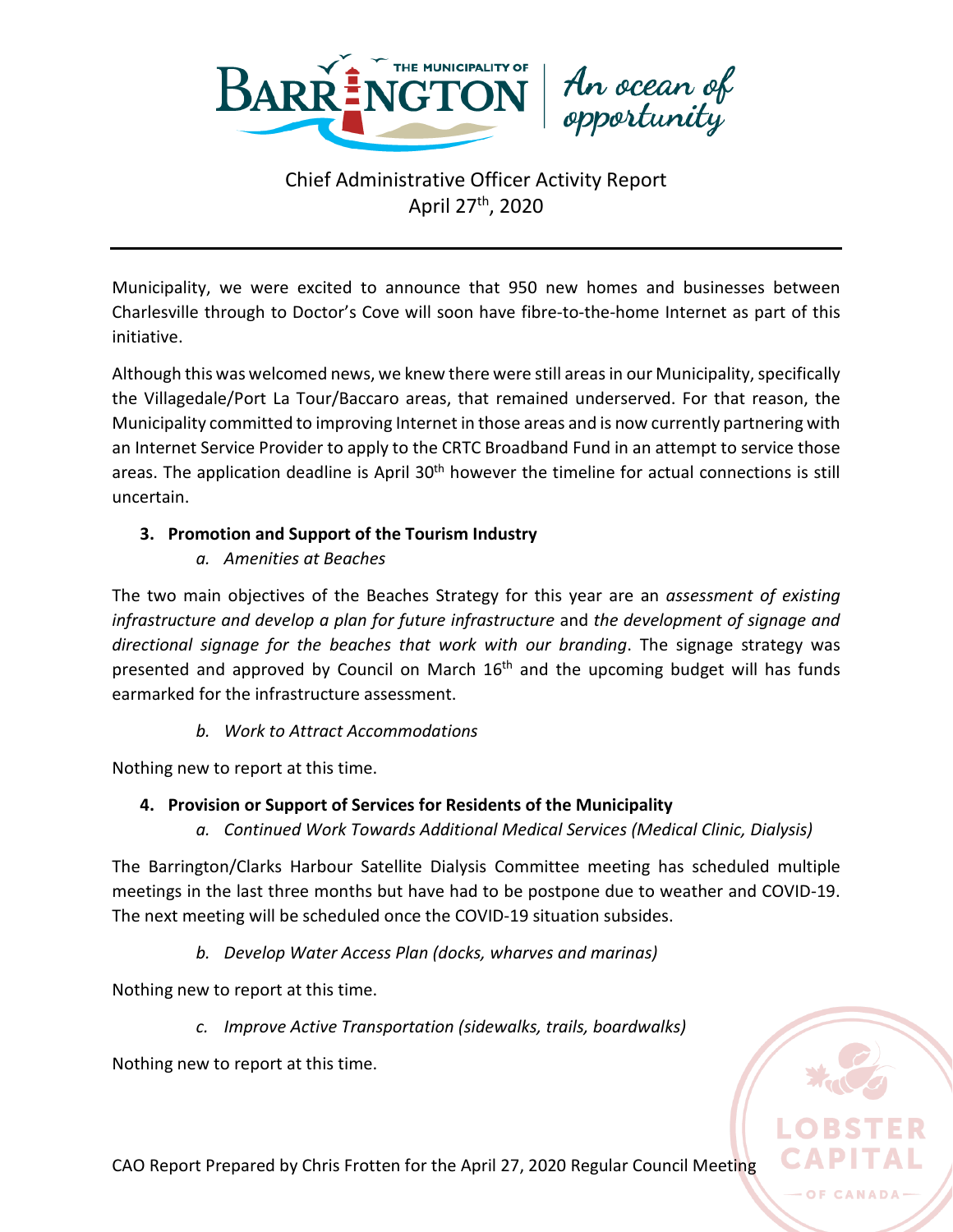

An ocean of<br>opportunity

Municipality, we were excited to announce that 950 new homes and businesses between Charlesville through to Doctor's Cove will soon have fibre-to-the-home Internet as part of this initiative.

Although this was welcomed news, we knew there were still areas in our Municipality, specifically the Villagedale/Port La Tour/Baccaro areas, that remained underserved. For that reason, the Municipality committed to improving Internet in those areas and is now currently partnering with an Internet Service Provider to apply to the CRTC Broadband Fund in an attempt to service those areas. The application deadline is April 30<sup>th</sup> however the timeline for actual connections is still uncertain.

## **3. Promotion and Support of the Tourism Industry**

*a. Amenities at Beaches*

The two main objectives of the Beaches Strategy for this year are an *assessment of existing infrastructure and develop a plan for future infrastructure* and *the development of signage and directional signage for the beaches that work with our branding*. The signage strategy was presented and approved by Council on March 16<sup>th</sup> and the upcoming budget will has funds earmarked for the infrastructure assessment.

## *b. Work to Attract Accommodations*

Nothing new to report at this time.

## **4. Provision or Support of Services for Residents of the Municipality**

*a. Continued Work Towards Additional Medical Services (Medical Clinic, Dialysis)*

The Barrington/Clarks Harbour Satellite Dialysis Committee meeting has scheduled multiple meetings in the last three months but have had to be postpone due to weather and COVID-19. The next meeting will be scheduled once the COVID-19 situation subsides.

*b. Develop Water Access Plan (docks, wharves and marinas)*

Nothing new to report at this time.

*c. Improve Active Transportation (sidewalks, trails, boardwalks)*

Nothing new to report at this time.



OF CANADA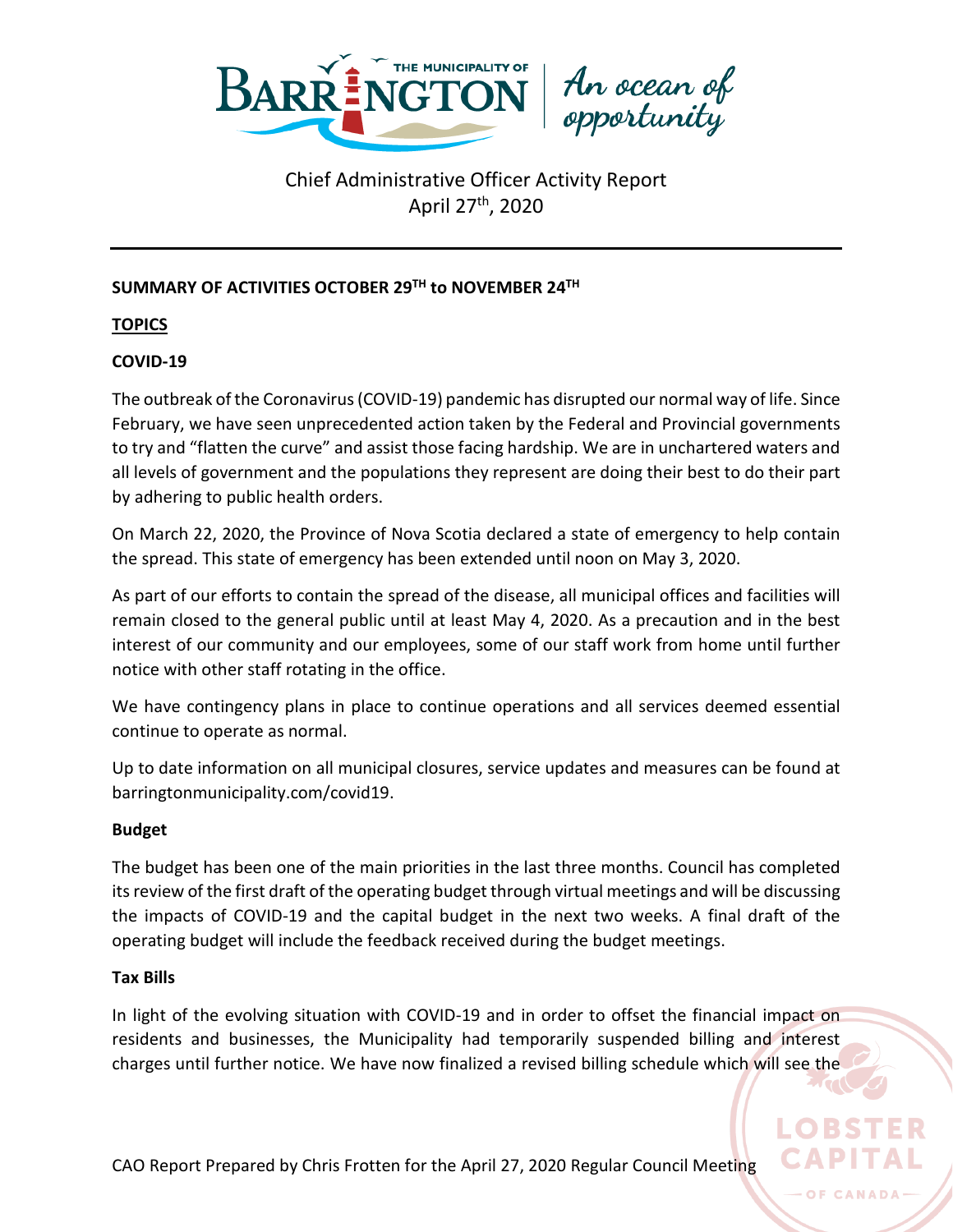

# An ocean of<br>opportunity

# Chief Administrative Officer Activity Report April 27th, 2020

## **SUMMARY OF ACTIVITIES OCTOBER 29TH to NOVEMBER 24TH**

**TOPICS**

## **COVID-19**

The outbreak of the Coronavirus (COVID-19) pandemic has disrupted our normal way of life. Since February, we have seen unprecedented action taken by the Federal and Provincial governments to try and "flatten the curve" and assist those facing hardship. We are in unchartered waters and all levels of government and the populations they represent are doing their best to do their part by adhering to public health orders.

On March 22, 2020, the Province of Nova Scotia declared a state of emergency to help contain the spread. This state of emergency has been extended until noon on May 3, 2020.

As part of our efforts to contain the spread of the disease, all municipal offices and facilities will remain closed to the general public until at least May 4, 2020. As a precaution and in the best interest of our community and our employees, some of our staff work from home until further notice with other staff rotating in the office.

We have contingency plans in place to continue operations and all services deemed essential continue to operate as normal.

Up to date information on all municipal closures, service updates and measures can be found at barringtonmunicipality.com/covid19.

## **Budget**

The budget has been one of the main priorities in the last three months. Council has completed its review of the first draft of the operating budget through virtual meetings and will be discussing the impacts of COVID-19 and the capital budget in the next two weeks. A final draft of the operating budget will include the feedback received during the budget meetings.

## **Tax Bills**

In light of the evolving situation with COVID-19 and in order to offset the financial impact on residents and businesses, the Municipality had temporarily suspended billing and interest charges until further notice. We have now finalized a revised billing schedule which will see the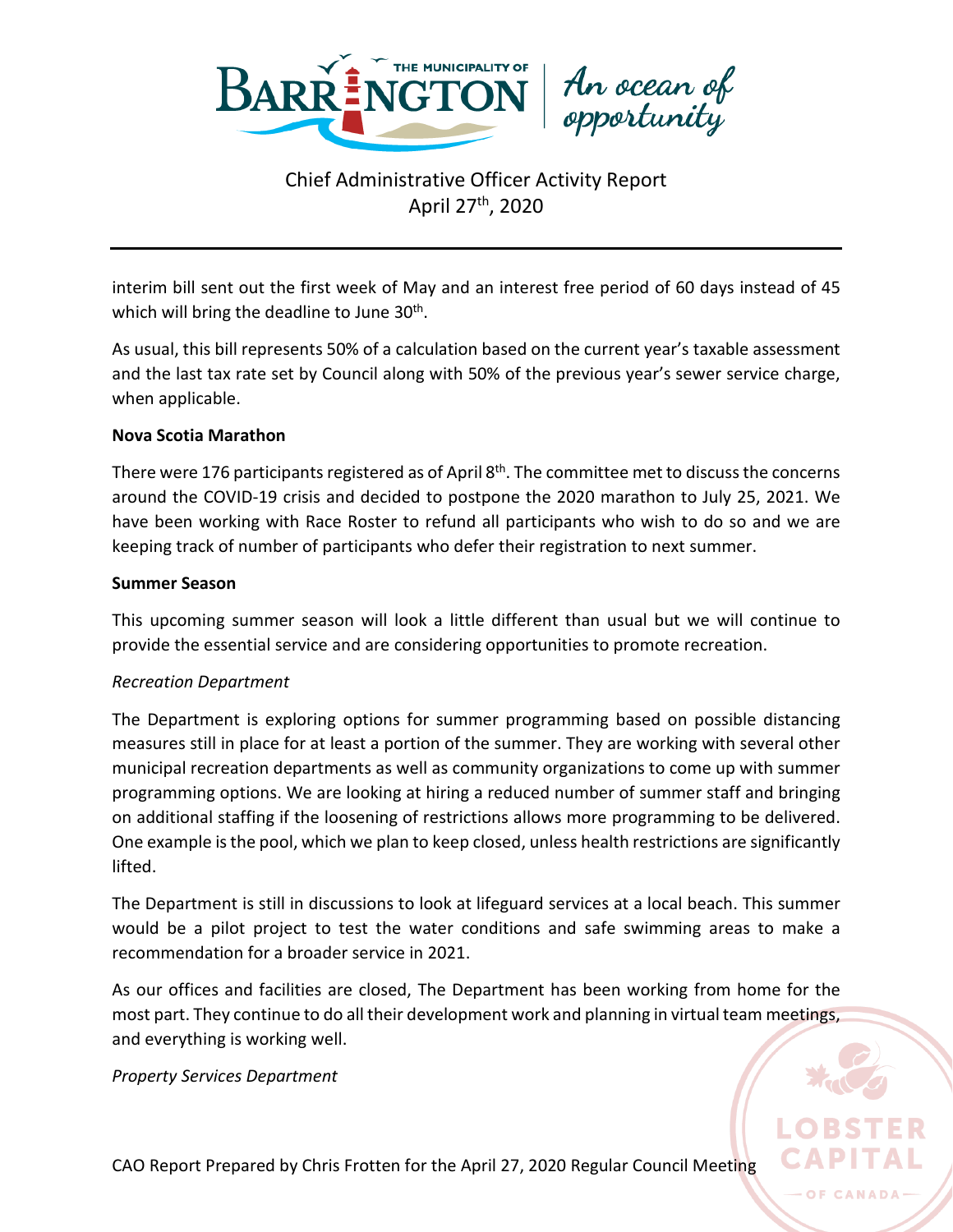



interim bill sent out the first week of May and an interest free period of 60 days instead of 45 which will bring the deadline to June 30<sup>th</sup>.

As usual, this bill represents 50% of a calculation based on the current year's taxable assessment and the last tax rate set by Council along with 50% of the previous year's sewer service charge, when applicable.

## **Nova Scotia Marathon**

There were 176 participants registered as of April  $8<sup>th</sup>$ . The committee met to discuss the concerns around the COVID-19 crisis and decided to postpone the 2020 marathon to July 25, 2021. We have been working with Race Roster to refund all participants who wish to do so and we are keeping track of number of participants who defer their registration to next summer.

## **Summer Season**

This upcoming summer season will look a little different than usual but we will continue to provide the essential service and are considering opportunities to promote recreation.

## *Recreation Department*

The Department is exploring options for summer programming based on possible distancing measures still in place for at least a portion of the summer. They are working with several other municipal recreation departments as well as community organizations to come up with summer programming options. We are looking at hiring a reduced number of summer staff and bringing on additional staffing if the loosening of restrictions allows more programming to be delivered. One example is the pool, which we plan to keep closed, unless health restrictions are significantly lifted.

The Department is still in discussions to look at lifeguard services at a local beach. This summer would be a pilot project to test the water conditions and safe swimming areas to make a recommendation for a broader service in 2021.

As our offices and facilities are closed, The Department has been working from home for the most part. They continue to do all their development work and planning in virtual team meetings, and everything is working well.

OF CANADA

*Property Services Department*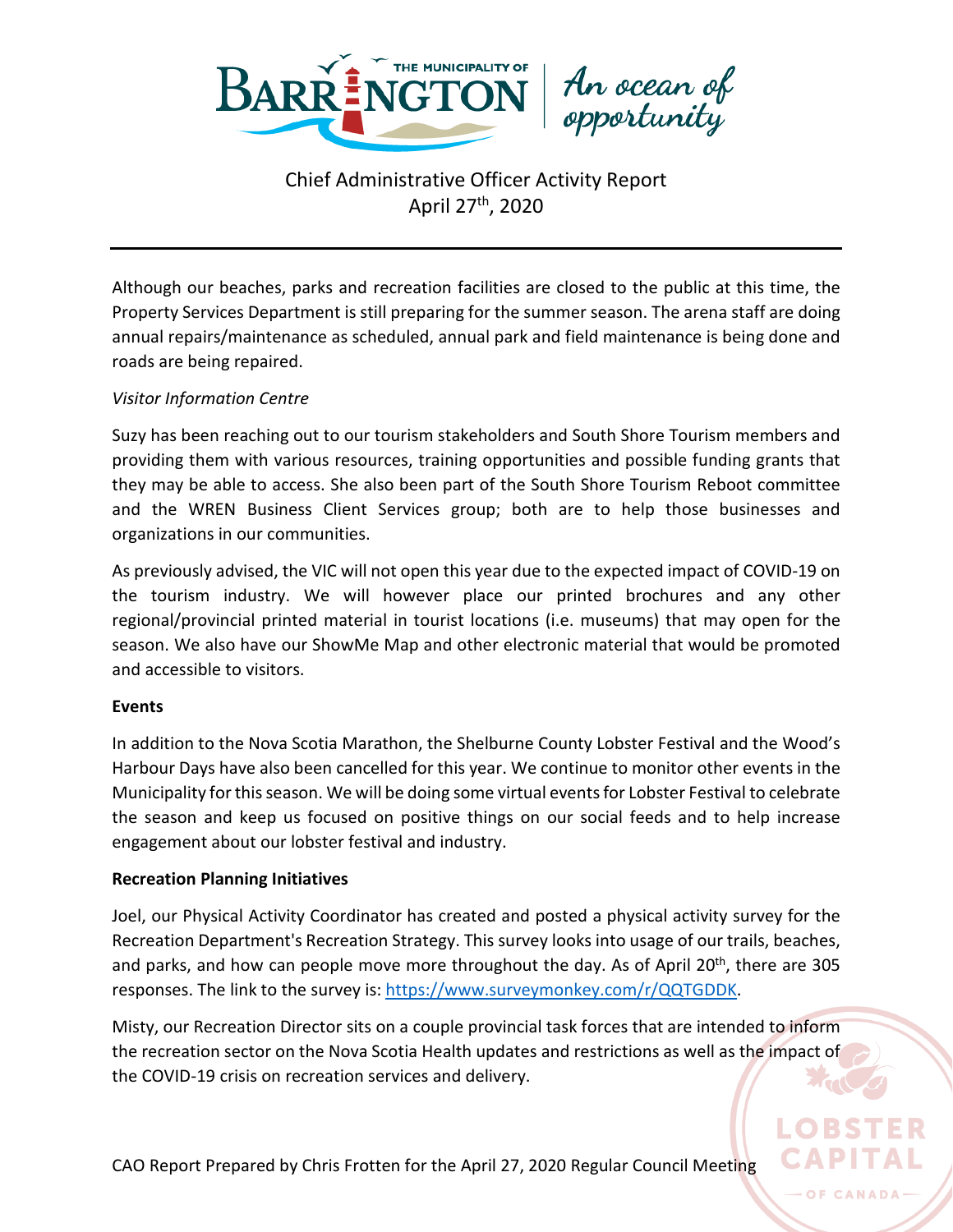

An ocean of<br>opportunity

Although our beaches, parks and recreation facilities are closed to the public at this time, the Property Services Department is still preparing for the summer season. The arena staff are doing annual repairs/maintenance as scheduled, annual park and field maintenance is being done and roads are being repaired.

## *Visitor Information Centre*

Suzy has been reaching out to our tourism stakeholders and South Shore Tourism members and providing them with various resources, training opportunities and possible funding grants that they may be able to access. She also been part of the South Shore Tourism Reboot committee and the WREN Business Client Services group; both are to help those businesses and organizations in our communities.

As previously advised, the VIC will not open this year due to the expected impact of COVID-19 on the tourism industry. We will however place our printed brochures and any other regional/provincial printed material in tourist locations (i.e. museums) that may open for the season. We also have our ShowMe Map and other electronic material that would be promoted and accessible to visitors.

## **Events**

In addition to the Nova Scotia Marathon, the Shelburne County Lobster Festival and the Wood's Harbour Days have also been cancelled for this year. We continue to monitor other events in the Municipality for this season. We will be doing some virtual events for Lobster Festival to celebrate the season and keep us focused on positive things on our social feeds and to help increase engagement about our lobster festival and industry.

## **Recreation Planning Initiatives**

Joel, our Physical Activity Coordinator has created and posted a physical activity survey for the Recreation Department's Recreation Strategy. This survey looks into usage of our trails, beaches, and parks, and how can people move more throughout the day. As of April 20<sup>th</sup>, there are 305 responses. The link to the survey is: [https://www.surveymonkey.com/r/QQTGDDK.](https://www.surveymonkey.com/r/QQTGDDK)

Misty, our Recreation Director sits on a couple provincial task forces that are intended to inform the recreation sector on the Nova Scotia Health updates and restrictions as well as the impact of the COVID-19 crisis on recreation services and delivery.

OF CANADA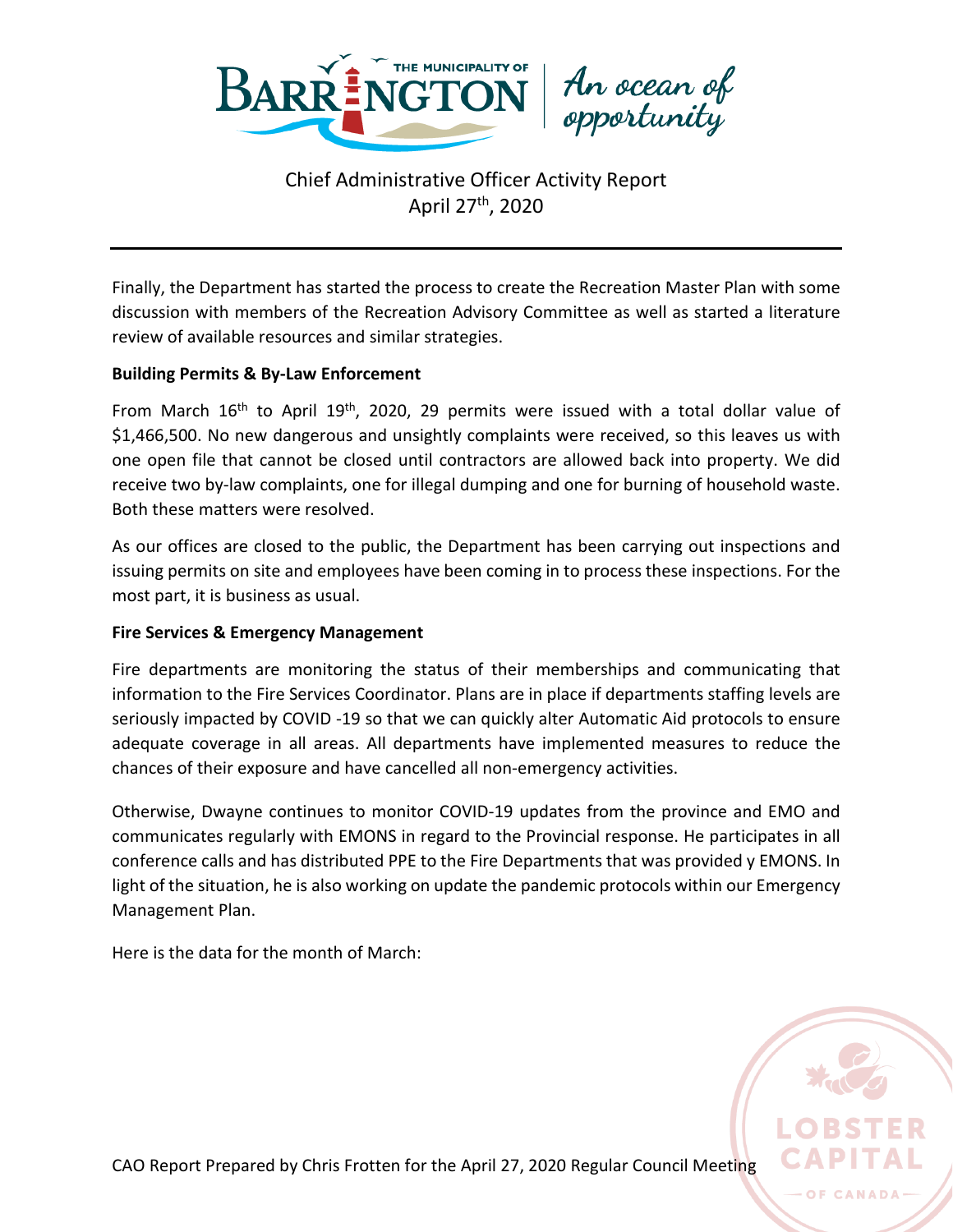



Finally, the Department has started the process to create the Recreation Master Plan with some discussion with members of the Recreation Advisory Committee as well as started a literature review of available resources and similar strategies.

## **Building Permits & By-Law Enforcement**

From March 16<sup>th</sup> to April 19<sup>th</sup>, 2020, 29 permits were issued with a total dollar value of \$1,466,500. No new dangerous and unsightly complaints were received, so this leaves us with one open file that cannot be closed until contractors are allowed back into property. We did receive two by-law complaints, one for illegal dumping and one for burning of household waste. Both these matters were resolved.

As our offices are closed to the public, the Department has been carrying out inspections and issuing permits on site and employees have been coming in to process these inspections. For the most part, it is business as usual.

## **Fire Services & Emergency Management**

Fire departments are monitoring the status of their memberships and communicating that information to the Fire Services Coordinator. Plans are in place if departments staffing levels are seriously impacted by COVID -19 so that we can quickly alter Automatic Aid protocols to ensure adequate coverage in all areas. All departments have implemented measures to reduce the chances of their exposure and have cancelled all non-emergency activities.

Otherwise, Dwayne continues to monitor COVID-19 updates from the province and EMO and communicates regularly with EMONS in regard to the Provincial response. He participates in all conference calls and has distributed PPE to the Fire Departments that was provided y EMONS. In light of the situation, he is also working on update the pandemic protocols within our Emergency Management Plan.

Here is the data for the month of March:

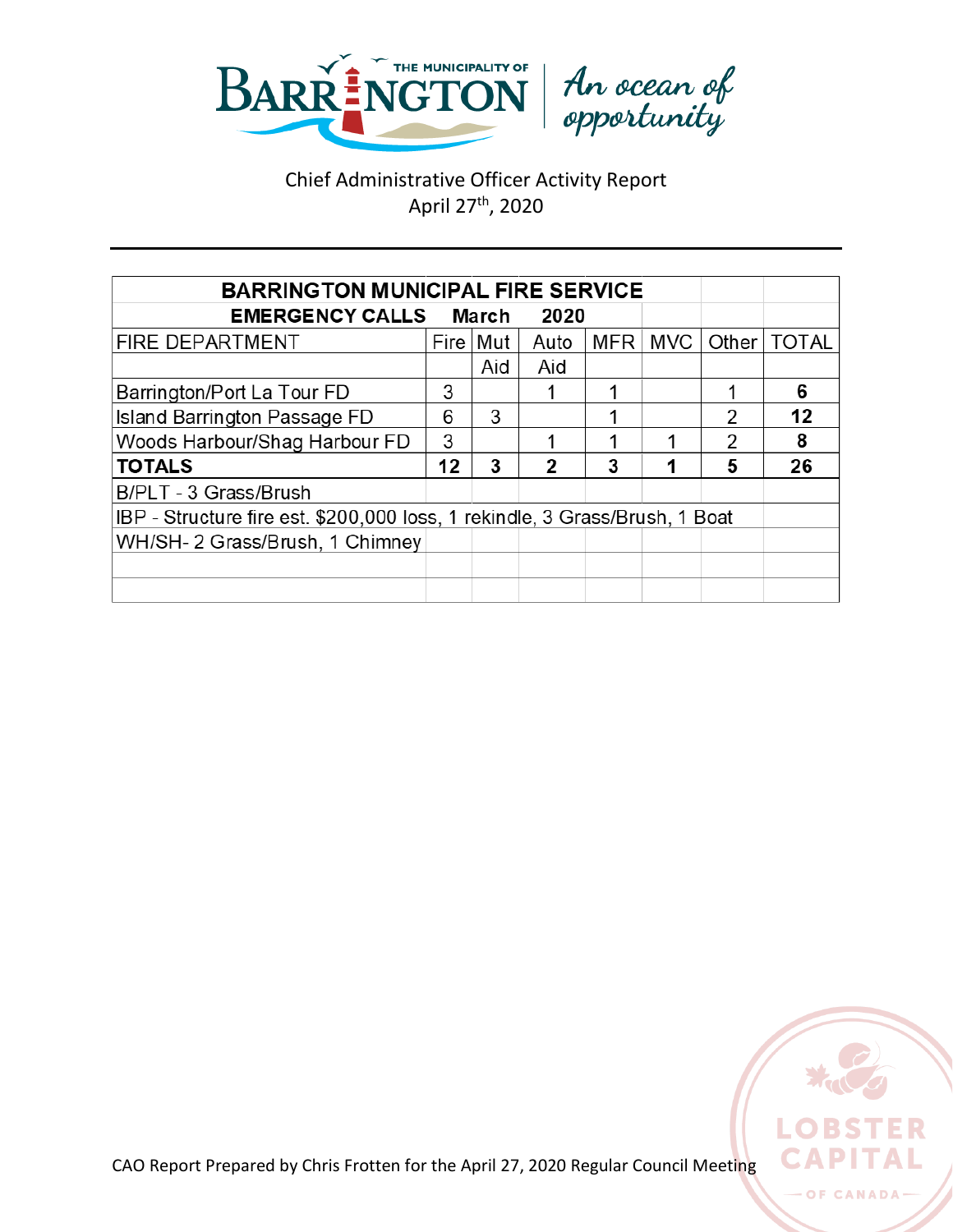



| <b>BARRINGTON MUNICIPAL FIRE SERVICE</b>                                    |    |              |      |     |            |                |              |  |
|-----------------------------------------------------------------------------|----|--------------|------|-----|------------|----------------|--------------|--|
| <b>EMERGENCY CALLS</b>                                                      |    | <b>March</b> | 2020 |     |            |                |              |  |
| <b>FIRE DEPARTMENT</b>                                                      |    | Fire   Mut   | Auto | MFR | <b>MVC</b> | Other          | <b>TOTAL</b> |  |
|                                                                             |    | Aid          | Aid  |     |            |                |              |  |
| Barrington/Port La Tour FD                                                  | 3  |              |      |     |            |                | 6            |  |
| Island Barrington Passage FD                                                | 6  | 3            |      |     |            | $\mathfrak{p}$ | 12           |  |
| Woods Harbour/Shag Harbour FD                                               | 3  |              |      |     |            | 2              | 8            |  |
| <b>TOTALS</b>                                                               | 12 | 3            | 2    | 3   |            | 5              | 26           |  |
| B/PLT - 3 Grass/Brush                                                       |    |              |      |     |            |                |              |  |
| IBP - Structure fire est. \$200,000 loss, 1 rekindle, 3 Grass/Brush, 1 Boat |    |              |      |     |            |                |              |  |
| WH/SH- 2 Grass/Brush, 1 Chimney                                             |    |              |      |     |            |                |              |  |
|                                                                             |    |              |      |     |            |                |              |  |
|                                                                             |    |              |      |     |            |                |              |  |